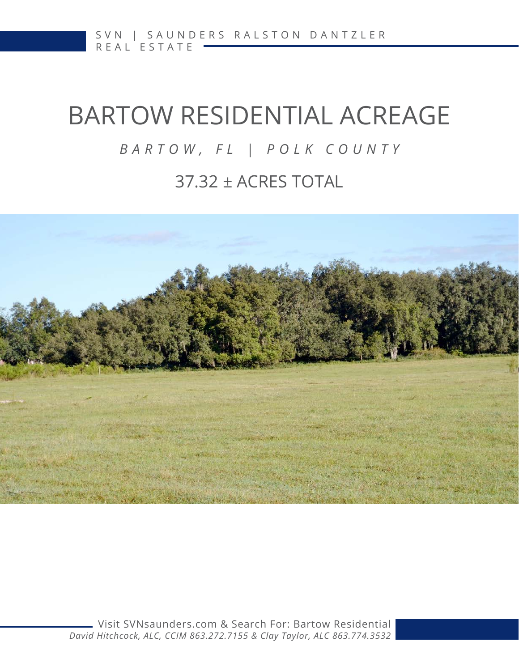# BARTOW RESIDENTIAL ACREAGE

### *BARTOW, FL | POLK COUNTY*

### 37.32 ± ACRES TOTAL

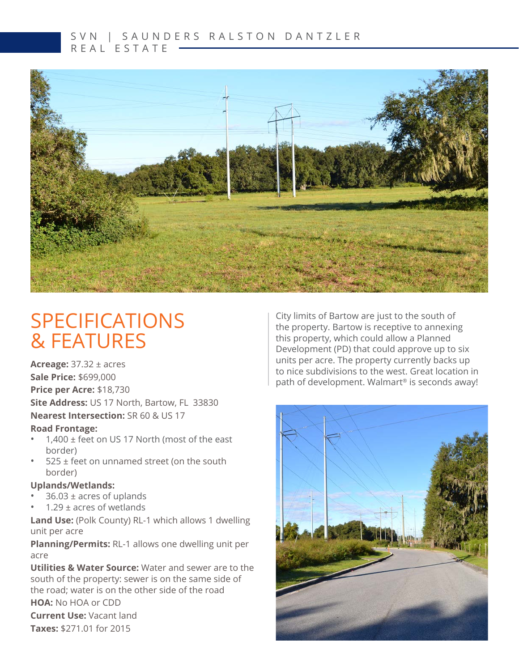#### S V N | S A U N D E R S R A L S T O N D A N T Z L E R REAL ESTATE



# SPECIFICATIONS & FEATURES

**Acreage:** 37.32 ± acres **Sale Price:** \$699,000 **Price per Acre:** \$18,730 **Site Address:** US 17 North, Bartow, FL 33830 **Nearest Intersection:** SR 60 & US 17

#### **Road Frontage:**

- 1,400 ± feet on US 17 North (most of the east border)
- 525 ± feet on unnamed street (on the south border)

#### **Uplands/Wetlands:**

- $36.03 \pm \text{acres of sublands}$
- 1.29  $\pm$  acres of wetlands

**Land Use:** (Polk County) RL-1 which allows 1 dwelling unit per acre

**Planning/Permits:** RL-1 allows one dwelling unit per acre

**Utilities & Water Source:** Water and sewer are to the south of the property: sewer is on the same side of the road; water is on the other side of the road

#### **HOA:** No HOA or CDD

**Current Use:** Vacant land **Taxes:** \$271.01 for 2015

City limits of Bartow are just to the south of the property. Bartow is receptive to annexing this property, which could allow a Planned Development (PD) that could approve up to six units per acre. The property currently backs up to nice subdivisions to the west. Great location in path of development. Walmart<sup>®</sup> is seconds away!

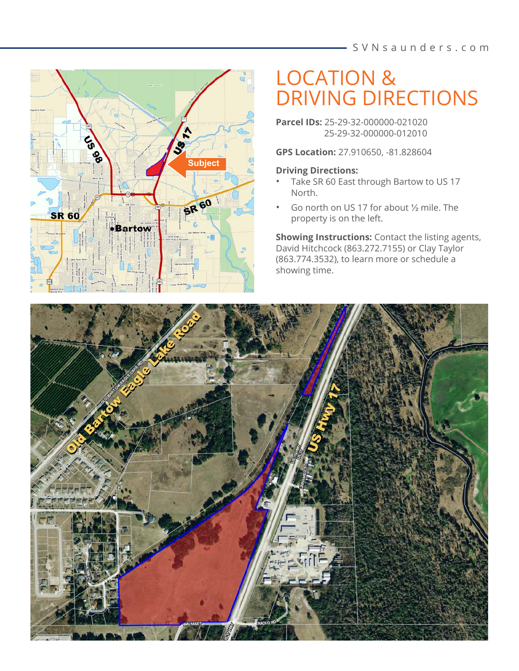

# LOCATION & DRIVING DIRECTIONS

**Parcel IDs:** 25-29-32-000000-021020 25-29-32-000000-012010

**GPS Location:** 27.910650, -81.828604

#### **Driving Directions:**

- Take SR 60 East through Bartow to US 17 North.
- Go north on US 17 for about ½ mile. The property is on the left.

**Showing Instructions:** Contact the listing agents, David Hitchcock (863.272.7155) or Clay Taylor (863.774.3532), to learn more or schedule a showing time.